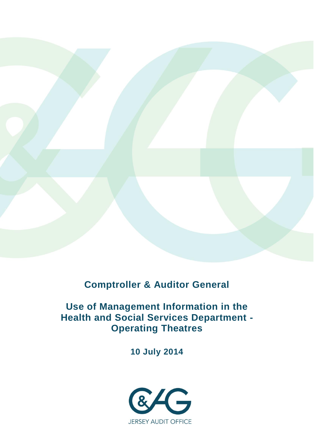

**Comptroller & Auditor General**

# **Use of Management Information in the Health and Social Services Department - Operating Theatres**

**10 July 2014**

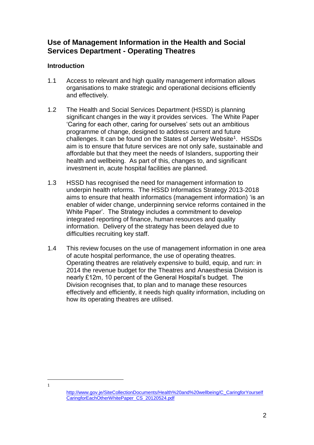## **Use of Management Information in the Health and Social Services Department - Operating Theatres**

## **Introduction**

 $\overline{\phantom{a}}$ 1

- 1.1 Access to relevant and high quality management information allows organisations to make strategic and operational decisions efficiently and effectively.
- 1.2 The Health and Social Services Department (HSSD) is planning significant changes in the way it provides services. The White Paper 'Caring for each other, caring for ourselves' sets out an ambitious programme of change, designed to address current and future challenges. It can be found on the States of Jersey Website<sup>1</sup>. HSSDs aim is to ensure that future services are not only safe, sustainable and affordable but that they meet the needs of Islanders, supporting their health and wellbeing. As part of this, changes to, and significant investment in, acute hospital facilities are planned.
- 1.3 HSSD has recognised the need for management information to underpin health reforms. The HSSD Informatics Strategy 2013-2018 aims to ensure that health informatics (management information) 'is an enabler of wider change, underpinning service reforms contained in the White Paper'. The Strategy includes a commitment to develop integrated reporting of finance, human resources and quality information. Delivery of the strategy has been delayed due to difficulties recruiting key staff.
- 1.4 This review focuses on the use of management information in one area of acute hospital performance, the use of operating theatres. Operating theatres are relatively expensive to build, equip, and run: in 2014 the revenue budget for the Theatres and Anaesthesia Division is nearly £12m, 10 percent of the General Hospital's budget. The Division recognises that, to plan and to manage these resources effectively and efficiently, it needs high quality information, including on how its operating theatres are utilised.

[http://www.gov.je/SiteCollectionDocuments/Health%20and%20wellbeing/C\\_CaringforYourself](http://www.gov.je/SiteCollectionDocuments/Health%20and%20wellbeing/C_CaringforYourselfCaringforEachOtherWhitePaper_CS_20120524.pdf) [CaringforEachOtherWhitePaper\\_CS\\_20120524.pdf](http://www.gov.je/SiteCollectionDocuments/Health%20and%20wellbeing/C_CaringforYourselfCaringforEachOtherWhitePaper_CS_20120524.pdf)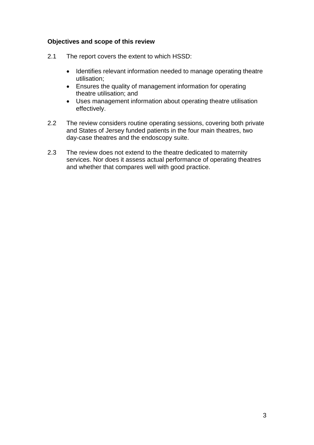## **Objectives and scope of this review**

- 2.1 The report covers the extent to which HSSD:
	- Identifies relevant information needed to manage operating theatre utilisation;
	- Ensures the quality of management information for operating theatre utilisation; and
	- Uses management information about operating theatre utilisation effectively.
- 2.2 The review considers routine operating sessions, covering both private and States of Jersey funded patients in the four main theatres, two day-case theatres and the endoscopy suite.
- 2.3 The review does not extend to the theatre dedicated to maternity services. Nor does it assess actual performance of operating theatres and whether that compares well with good practice.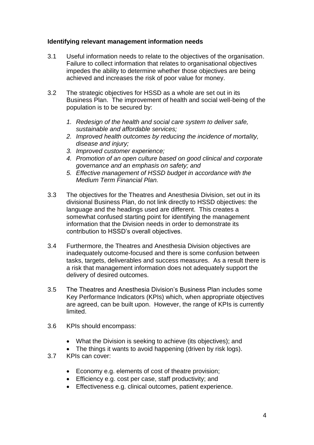## **Identifying relevant management information needs**

- 3.1 Useful information needs to relate to the objectives of the organisation. Failure to collect information that relates to organisational objectives impedes the ability to determine whether those objectives are being achieved and increases the risk of poor value for money.
- 3.2 The strategic objectives for HSSD as a whole are set out in its Business Plan. The improvement of health and social well-being of the population is to be secured by:
	- *1. Redesign of the health and social care system to deliver safe, sustainable and affordable services;*
	- *2. Improved health outcomes by reducing the incidence of mortality, disease and injury;*
	- *3. Improved customer experience;*
	- *4. Promotion of an open culture based on good clinical and corporate governance and an emphasis on safety; and*
	- *5. Effective management of HSSD budget in accordance with the Medium Term Financial Plan.*
- 3.3 The objectives for the Theatres and Anesthesia Division, set out in its divisional Business Plan, do not link directly to HSSD objectives: the language and the headings used are different. This creates a somewhat confused starting point for identifying the management information that the Division needs in order to demonstrate its contribution to HSSD's overall objectives.
- 3.4 Furthermore, the Theatres and Anesthesia Division objectives are inadequately outcome-focused and there is some confusion between tasks, targets, deliverables and success measures. As a result there is a risk that management information does not adequately support the delivery of desired outcomes.
- 3.5 The Theatres and Anesthesia Division's Business Plan includes some Key Performance Indicators (KPIs) which, when appropriate objectives are agreed, can be built upon. However, the range of KPIs is currently limited.
- 3.6 KPIs should encompass:
	- What the Division is seeking to achieve (its objectives); and
	- The things it wants to avoid happening (driven by risk logs).
- 3.7 KPIs can cover:
	- Economy e.g. elements of cost of theatre provision;
	- Efficiency e.g. cost per case, staff productivity; and
	- Effectiveness e.g. clinical outcomes, patient experience.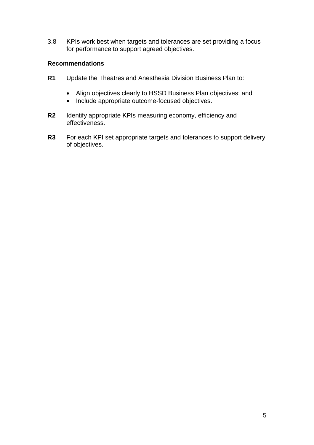3.8 KPIs work best when targets and tolerances are set providing a focus for performance to support agreed objectives.

## **Recommendations**

- **R1** Update the Theatres and Anesthesia Division Business Plan to:
	- Align objectives clearly to HSSD Business Plan objectives; and
	- Include appropriate outcome-focused objectives.
- **R2** Identify appropriate KPIs measuring economy, efficiency and effectiveness.
- **R3** For each KPI set appropriate targets and tolerances to support delivery of objectives.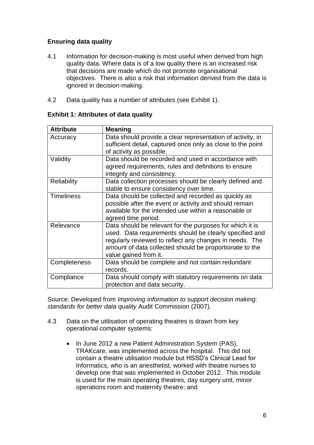## **Ensuring data quality**

- 4.1 Information for decision-making is most useful when derived from high quality data. Where data is of a low quality there is an increased risk that decisions are made which do not promote organisational objectives. There is also a risk that information derived from the data is ignored in decision-making.
- 4.2 Data quality has a number of attributes (see Exhibit 1).

| <b>Attribute</b>   | <b>Meaning</b>                                                                                                                                                                                                                                                     |
|--------------------|--------------------------------------------------------------------------------------------------------------------------------------------------------------------------------------------------------------------------------------------------------------------|
| Accuracy           | Data should provide a clear representation of activity, in<br>sufficient detail, captured once only as close to the point<br>of activity as possible.                                                                                                              |
| Validity           | Data should be recorded and used in accordance with<br>agreed requirements, rules and definitions to ensure<br>integrity and consistency.                                                                                                                          |
| <b>Reliability</b> | Data collection processes should be clearly defined and<br>stable to ensure consistency over time.                                                                                                                                                                 |
| <b>Timeliness</b>  | Data should be collected and recorded as quickly as<br>possible after the event or activity and should remain<br>available for the intended use within a reasonable or<br>agreed time period.                                                                      |
| Relevance          | Data should be relevant for the purposes for which it is<br>used. Data requirements should be clearly specified and<br>regularly reviewed to reflect any changes in needs. The<br>amount of data collected should be proportionate to the<br>value gained from it. |
| Completeness       | Data should be complete and not contain redundant<br>records.                                                                                                                                                                                                      |
| Compliance         | Data should comply with statutory requirements on data<br>protection and data security.                                                                                                                                                                            |

## **Exhibit 1: Attributes of data quality**

Source: Developed from *Improving information to support decision making: standards for better data quality* Audit Commission (2007).

- 4.3 Data on the utilisation of operating theatres is drawn from key operational computer systems:
	- In June 2012 a new Patient Administration System (PAS), TRAKcare, was implemented across the hospital. This did not contain a theatre utilisation module but HSSD's Clinical Lead for Informatics, who is an anesthetist, worked with theatre nurses to develop one that was implemented in October 2012. This module is used for the main operating theatres, day surgery unit, minor operations room and maternity theatre; and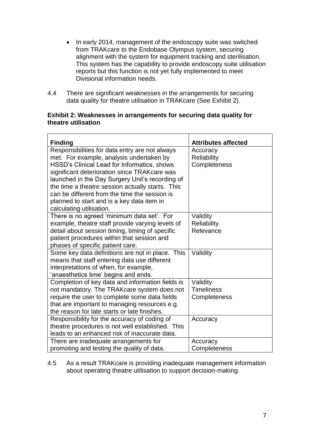- In early 2014, management of the endoscopy suite was switched from TRAKcare to the Endobase Olympus system, securing alignment with the system for equipment tracking and sterilisation. This system has the capability to provide endoscopy suite utilisation reports but this function is not yet fully implemented to meet Divisional information needs.
- 4.4 There are significant weaknesses in the arrangements for securing data quality for theatre utilisation in TRAKcare (See Exhibit 2).

#### **Exhibit 2: Weaknesses in arrangements for securing data quality for theatre utilisation**

| <b>Finding</b>                                   | <b>Attributes affected</b> |
|--------------------------------------------------|----------------------------|
| Responsibilities for data entry are not always   | Accuracy                   |
| met. For example, analysis undertaken by         | <b>Reliability</b>         |
| HSSD's Clinical Lead for Informatics, shows      | Completeness               |
| significant deterioration since TRAKcare was     |                            |
| launched in the Day Surgery Unit's recording of  |                            |
| the time a theatre session actually starts. This |                            |
| can be different from the time the session is    |                            |
| planned to start and is a key data item in       |                            |
| calculating utilisation.                         |                            |
| There is no agreed 'minimum data set'. For       | Validity                   |
| example, theatre staff provide varying levels of | <b>Reliability</b>         |
| detail about session timing, timing of specific  | Relevance                  |
| patient procedures within that session and       |                            |
| phases of specific patient care.                 |                            |
| Some key data definitions are not in place. This | Validity                   |
| means that staff entering data use different     |                            |
| interpretations of when, for example,            |                            |
| 'anaesthetics time' begins and ends.             |                            |
| Completion of key data and information fields is | Validity                   |
| not mandatory. The TRAKcare system does not      | <b>Timeliness</b>          |
| require the user to complete some data fields    | Completeness               |
| that are important to managing resources e.g.    |                            |
| the reason for late starts or late finishes.     |                            |
| Responsibility for the accuracy of coding of     | Accuracy                   |
| theatre procedures is not well established. This |                            |
| leads to an enhanced risk of inaccurate data.    |                            |
| There are inadequate arrangements for            | Accuracy                   |
| promoting and testing the quality of data.       | Completeness               |

4.5 As a result TRAKcare is providing inadequate management information about operating theatre utilisation to support decision-making.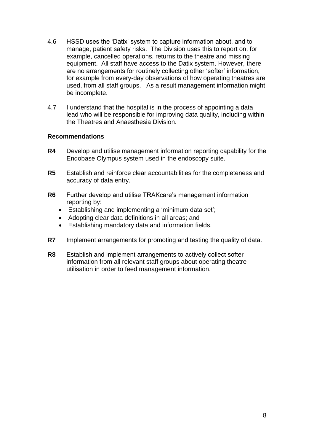- 4.6 HSSD uses the 'Datix' system to capture information about, and to manage, patient safety risks. The Division uses this to report on, for example, cancelled operations, returns to the theatre and missing equipment. All staff have access to the Datix system. However, there are no arrangements for routinely collecting other 'softer' information, for example from every-day observations of how operating theatres are used, from all staff groups. As a result management information might be incomplete.
- 4.7 I understand that the hospital is in the process of appointing a data lead who will be responsible for improving data quality, including within the Theatres and Anaesthesia Division.

### **Recommendations**

- **R4** Develop and utilise management information reporting capability for the Endobase Olympus system used in the endoscopy suite.
- **R5** Establish and reinforce clear accountabilities for the completeness and accuracy of data entry.
- **R6** Further develop and utilise TRAKcare's management information reporting by:
	- Establishing and implementing a 'minimum data set';
	- Adopting clear data definitions in all areas; and
	- Establishing mandatory data and information fields.
- **R7** Implement arrangements for promoting and testing the quality of data.
- **R8** Establish and implement arrangements to actively collect softer information from all relevant staff groups about operating theatre utilisation in order to feed management information.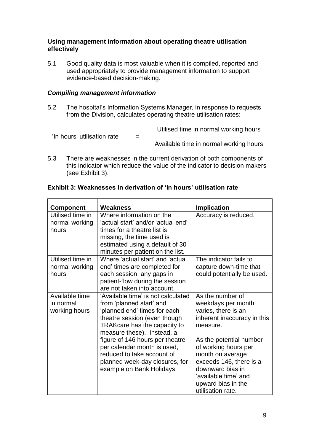### **Using management information about operating theatre utilisation effectively**

5.1 Good quality data is most valuable when it is compiled, reported and used appropriately to provide management information to support evidence-based decision-making.

## *Compiling management information*

5.2 The hospital's Information Systems Manager, in response to requests from the Division, calculates operating theatre utilisation rates:

> Utilised time in normal working hours \_\_\_\_\_\_\_\_\_\_\_\_\_\_\_\_\_\_\_\_\_\_\_\_\_\_\_\_\_\_\_\_\_\_\_\_\_\_\_\_\_\_\_\_

'In hours' utilisation rate  $=$ 

Available time in normal working hours

5.3 There are weaknesses in the current derivation of both components of this indicator which reduce the value of the indicator to decision makers (see Exhibit 3).

| <b>Component</b>                             | Weakness                                                                                                                                                                                                                                                                                                                                                    | <b>Implication</b>                                                                                                                                                                                                                                                                                |
|----------------------------------------------|-------------------------------------------------------------------------------------------------------------------------------------------------------------------------------------------------------------------------------------------------------------------------------------------------------------------------------------------------------------|---------------------------------------------------------------------------------------------------------------------------------------------------------------------------------------------------------------------------------------------------------------------------------------------------|
| Utilised time in<br>normal working<br>hours  | Where information on the<br>'actual start' and/or 'actual end'<br>times for a theatre list is<br>missing, the time used is<br>estimated using a default of 30<br>minutes per patient on the list.                                                                                                                                                           | Accuracy is reduced.                                                                                                                                                                                                                                                                              |
| Utilised time in<br>normal working<br>hours  | Where 'actual start' and 'actual<br>end' times are completed for<br>each session, any gaps in<br>patient-flow during the session<br>are not taken into account.                                                                                                                                                                                             | The indicator fails to<br>capture down-time that<br>could potentially be used.                                                                                                                                                                                                                    |
| Available time<br>in normal<br>working hours | 'Available time' is not calculated<br>from 'planned start' and<br>'planned end' times for each<br>theatre session (even though<br>TRAKcare has the capacity to<br>measure these). Instead, a<br>figure of 146 hours per theatre<br>per calendar month is used,<br>reduced to take account of<br>planned week-day closures, for<br>example on Bank Holidays. | As the number of<br>weekdays per month<br>varies, there is an<br>inherent inaccuracy in this<br>measure.<br>As the potential number<br>of working hours per<br>month on average<br>exceeds 146, there is a<br>downward bias in<br>'available time' and<br>upward bias in the<br>utilisation rate. |

## **Exhibit 3: Weaknesses in derivation of 'In hours' utilisation rate**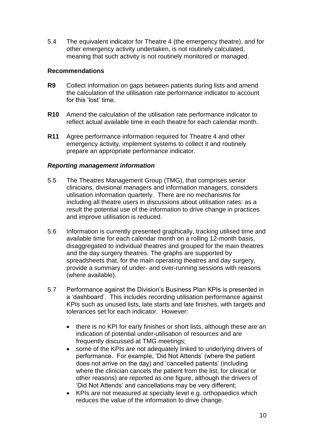5.4 The equivalent indicator for Theatre 4 (the emergency theatre), and for other emergency activity undertaken, is not routinely calculated, meaning that such activity is not routinely monitored or managed.

## **Recommendations**

- **R9** Collect information on gaps between patients during lists and amend the calculation of the utilisation rate performance indicator to account for this 'lost' time.
- **R10** Amend the calculation of the utilisation rate performance indicator to reflect actual available time in each theatre for each calendar month.
- **R11** Agree performance information required for Theatre 4 and other emergency activity, implement systems to collect it and routinely prepare an appropriate performance indicator.

## *Reporting management information*

- 5.5 The Theatres Management Group (TMG), that comprises senior clinicians, divisional managers and information managers, considers utilisation information quarterly. There are no mechanisms for including all theatre users in discussions about utilisation rates: as a result the potential use of the information to drive change in practices and improve utilisation is reduced.
- 5.6 Information is currently presented graphically, tracking utilised time and available time for each calendar month on a rolling 12-month basis, disaggregated to individual theatres and grouped for the main theatres and the day surgery theatres. The graphs are supported by spreadsheets that, for the main operating theatres and day surgery, provide a summary of under- and over-running sessions with reasons (where available).
- 5.7 Performance against the Division's Business Plan KPIs is presented in a 'dashboard'. This includes recording utilisation performance against KPIs such as unused lists, late starts and late finishes, with targets and tolerances set for each indicator. However:
	- there is no KPI for early finishes or short lists, although these are an indication of potential under-utilisation of resources and are frequently discussed at TMG meetings;
	- some of the KPIs are not adequately linked to underlying drivers of performance. For example, 'Did Not Attends' (where the patient does not arrive on the day) and 'cancelled patients' (including where the clinician cancels the patient from the list, for clinical or other reasons) are reported as one figure, although the drivers of 'Did Not Attends' and cancellations may be very different;
	- KPIs are not measured at specialty level e.g. orthopaedics which reduces the value of the information to drive change.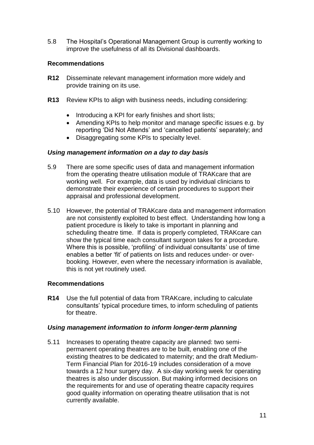5.8 The Hospital's Operational Management Group is currently working to improve the usefulness of all its Divisional dashboards.

## **Recommendations**

- **R12** Disseminate relevant management information more widely and provide training on its use.
- **R13** Review KPIs to align with business needs, including considering:
	- Introducing a KPI for early finishes and short lists;
	- Amending KPIs to help monitor and manage specific issues e.g. by reporting 'Did Not Attends' and 'cancelled patients' separately; and
	- Disaggregating some KPIs to specialty level.

### *Using management information on a day to day basis*

- 5.9 There are some specific uses of data and management information from the operating theatre utilisation module of TRAKcare that are working well. For example, data is used by individual clinicians to demonstrate their experience of certain procedures to support their appraisal and professional development.
- 5.10 However, the potential of TRAKcare data and management information are not consistently exploited to best effect. Understanding how long a patient procedure is likely to take is important in planning and scheduling theatre time. If data is properly completed, TRAKcare can show the typical time each consultant surgeon takes for a procedure. Where this is possible, 'profiling' of individual consultants' use of time enables a better 'fit' of patients on lists and reduces under- or overbooking. However, even where the necessary information is available, this is not yet routinely used.

### **Recommendations**

**R14** Use the full potential of data from TRAKcare, including to calculate consultants' typical procedure times, to inform scheduling of patients for theatre.

### *Using management information to inform longer-term planning*

5.11 Increases to operating theatre capacity are planned: two semipermanent operating theatres are to be built, enabling one of the existing theatres to be dedicated to maternity; and the draft Medium-Term Financial Plan for 2016-19 includes consideration of a move towards a 12 hour surgery day. A six-day working week for operating theatres is also under discussion. But making informed decisions on the requirements for and use of operating theatre capacity requires good quality information on operating theatre utilisation that is not currently available.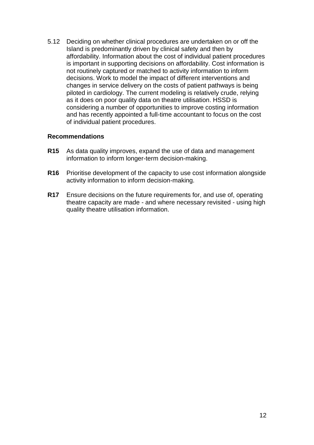5.12 Deciding on whether clinical procedures are undertaken on or off the Island is predominantly driven by clinical safety and then by affordability. Information about the cost of individual patient procedures is important in supporting decisions on affordability. Cost information is not routinely captured or matched to activity information to inform decisions. Work to model the impact of different interventions and changes in service delivery on the costs of patient pathways is being piloted in cardiology. The current modeling is relatively crude, relying as it does on poor quality data on theatre utilisation. HSSD is considering a number of opportunities to improve costing information and has recently appointed a full-time accountant to focus on the cost of individual patient procedures.

### **Recommendations**

- **R15** As data quality improves, expand the use of data and management information to inform longer-term decision-making.
- **R16** Prioritise development of the capacity to use cost information alongside activity information to inform decision-making.
- **R17** Ensure decisions on the future requirements for, and use of, operating theatre capacity are made - and where necessary revisited - using high quality theatre utilisation information.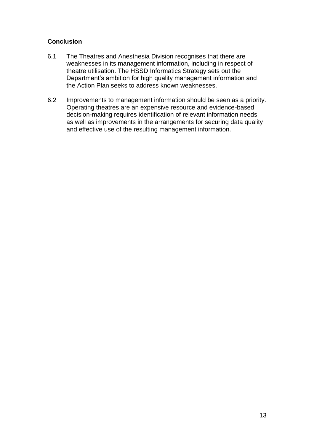## **Conclusion**

- 6.1 The Theatres and Anesthesia Division recognises that there are weaknesses in its management information, including in respect of theatre utilisation. The HSSD Informatics Strategy sets out the Department's ambition for high quality management information and the Action Plan seeks to address known weaknesses.
- 6.2 Improvements to management information should be seen as a priority. Operating theatres are an expensive resource and evidence-based decision-making requires identification of relevant information needs, as well as improvements in the arrangements for securing data quality and effective use of the resulting management information.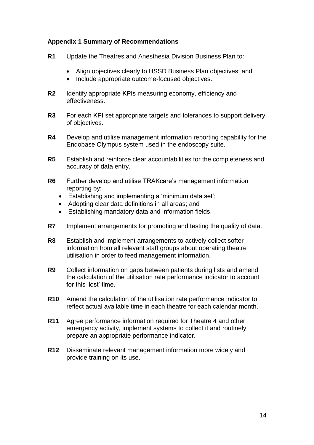## **Appendix 1 Summary of Recommendations**

- **R1** Update the Theatres and Anesthesia Division Business Plan to:
	- Align objectives clearly to HSSD Business Plan objectives; and
	- Include appropriate outcome-focused objectives.
- **R2** Identify appropriate KPIs measuring economy, efficiency and effectiveness.
- **R3** For each KPI set appropriate targets and tolerances to support delivery of objectives.
- **R4** Develop and utilise management information reporting capability for the Endobase Olympus system used in the endoscopy suite.
- **R5** Establish and reinforce clear accountabilities for the completeness and accuracy of data entry.
- **R6** Further develop and utilise TRAKcare's management information reporting by:
	- Establishing and implementing a 'minimum data set';
	- Adopting clear data definitions in all areas; and
	- Establishing mandatory data and information fields.
- **R7** Implement arrangements for promoting and testing the quality of data.
- **R8** Establish and implement arrangements to actively collect softer information from all relevant staff groups about operating theatre utilisation in order to feed management information.
- **R9** Collect information on gaps between patients during lists and amend the calculation of the utilisation rate performance indicator to account for this 'lost' time.
- **R10** Amend the calculation of the utilisation rate performance indicator to reflect actual available time in each theatre for each calendar month.
- **R11** Agree performance information required for Theatre 4 and other emergency activity, implement systems to collect it and routinely prepare an appropriate performance indicator.
- **R12** Disseminate relevant management information more widely and provide training on its use.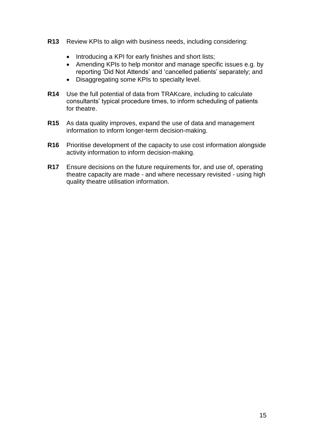- **R13** Review KPIs to align with business needs, including considering:
	- Introducing a KPI for early finishes and short lists;
	- Amending KPIs to help monitor and manage specific issues e.g. by reporting 'Did Not Attends' and 'cancelled patients' separately; and
	- Disaggregating some KPIs to specialty level.
- **R14** Use the full potential of data from TRAKcare, including to calculate consultants' typical procedure times, to inform scheduling of patients for theatre.
- **R15** As data quality improves, expand the use of data and management information to inform longer-term decision-making.
- **R16** Prioritise development of the capacity to use cost information alongside activity information to inform decision-making.
- **R17** Ensure decisions on the future requirements for, and use of, operating theatre capacity are made - and where necessary revisited - using high quality theatre utilisation information.